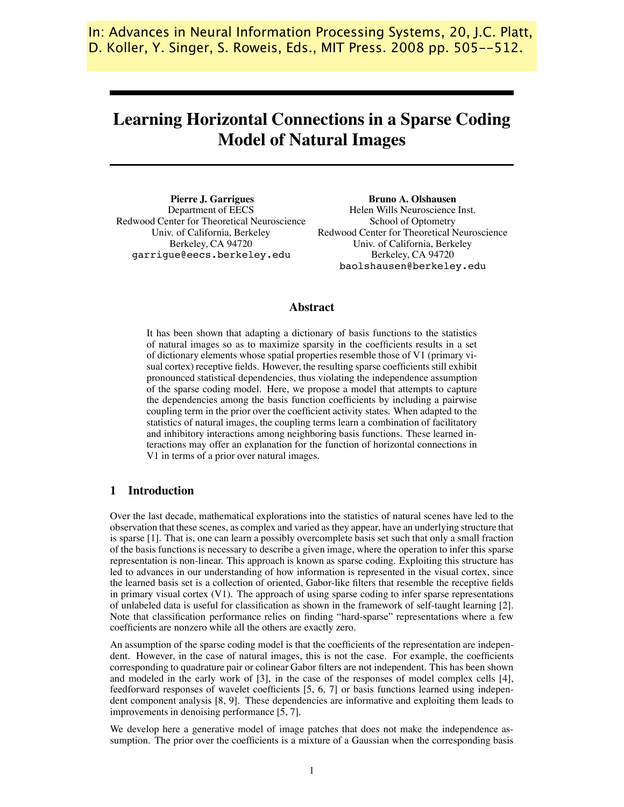In: Advances in Neural Information Processing Systems, 20, J.C. Platt, Koller, Y. Singer, S. Roweis, Eds., MIT Press. 2008 pp. 505--512. D. Koller, Y. Singer, S. Roweis, Eds., MIT Press. 2008 pp. 505--512.

# **Learning Horizontal Connections in a Sparse Coding Model of Natural Images**

**Pierre J. Garrigues** Department of EECS Redwood Center for Theoretical Neuroscience Univ. of California, Berkeley Berkeley, CA 94720 garrigue@eecs.berkeley.edu

**Bruno A. Olshausen** Helen Wills Neuroscience Inst. School of Optometry Redwood Center for Theoretical Neuroscience Univ. of California, Berkeley Berkeley, CA 94720 baolshausen@berkeley.edu

# **Abstract**

It has been shown that adapting a dictionary of basis functions to the statistics of natural images so as to maximize sparsity in the coefficients results in a set of dictionary elements whose spatial properties resemble those of V1 (primary visual cortex) receptive fields. However, the resulting sparse coefficientsstill exhibit pronounced statistical dependencies, thus violating the independence assumption of the sparse coding model. Here, we propose a model that attempts to capture the dependencies among the basis function coefficients by including a pairwise coupling term in the prior over the coefficient activity states. When adapted to the statistics of natural images, the coupling terms learn a combination of facilitatory and inhibitory interactions among neighboring basis functions. These learned interactions may offer an explanation for the function of horizontal connections in V1 in terms of a prior over natural images.

# **1 Introduction**

Over the last decade, mathematical explorations into the statistics of natural scenes have led to the observation that these scenes, as complex and varied as they appear, have an underlying structure that is sparse [1]. That is, one can learn a possibly overcomplete basis set such that only a small fraction of the basis functions is necessary to describe a given image, where the operation to infer this sparse representation is non-linear. This approach is known as sparse coding. Exploiting this structure has led to advances in our understanding of how information is represented in the visual cortex, since the learned basis set is a collection of oriented, Gabor-like filters that resemble the receptive fields in primary visual cortex (V1). The approach of using sparse coding to infer sparse representations of unlabeled data is useful for classification as shown in the framework of self-taught learning [2]. Note that classification performance relies on finding "hard-sparse" representations where a few coefficients are nonzero while all the others are exactly zero.

An assumption of the sparse coding model is that the coefficients of the representation are independent. However, in the case of natural images, this is not the case. For example, the coefficients corresponding to quadrature pair or colinear Gabor filters are not independent. This has been shown and modeled in the early work of [3], in the case of the responses of model complex cells [4], feedforward responses of wavelet coefficients [5, 6, 7] or basis functions learned using independent component analysis [8, 9]. These dependencies are informative and exploiting them leads to improvements in denoising performance [5, 7].

We develop here a generative model of image patches that does not make the independence assumption. The prior over the coefficients is a mixture of a Gaussian when the corresponding basis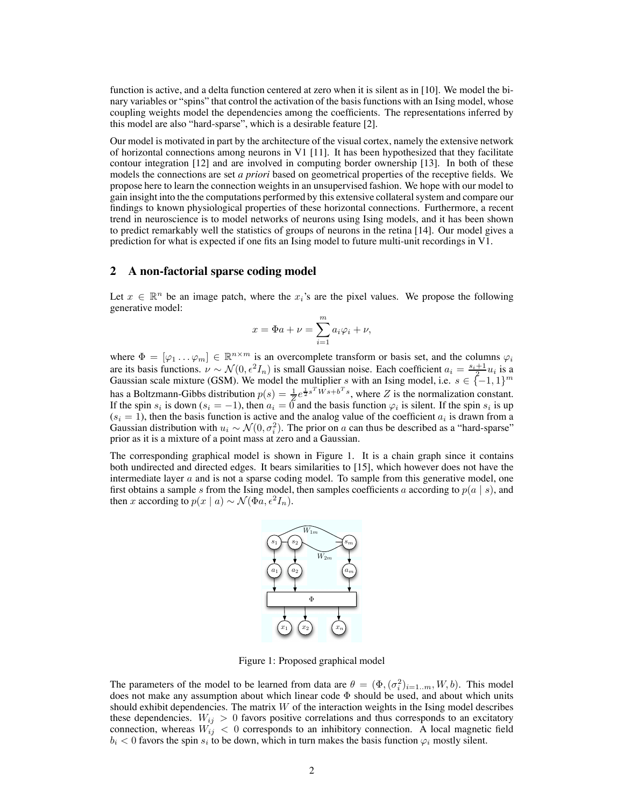function is active, and a delta function centered at zero when it is silent as in [10]. We model the binary variables or "spins" that control the activation of the basis functions with an Ising model, whose coupling weights model the dependencies among the coefficients. The representations inferred by this model are also "hard-sparse", which is a desirable feature [2].

Our model is motivated in part by the architecture of the visual cortex, namely the extensive network of horizontal connections among neurons in V1 [11]. It has been hypothesized that they facilitate contour integration [12] and are involved in computing border ownership [13]. In both of these models the connections are set *a priori* based on geometrical properties of the receptive fields. We propose here to learn the connection weights in an unsupervised fashion. We hope with our model to gain insight into the the computations performed by this extensive collateralsystem and compare our findings to known physiological properties of these horizontal connections. Furthermore, a recent trend in neuroscience is to model networks of neurons using Ising models, and it has been shown to predict remarkably well the statistics of groups of neurons in the retina [14]. Our model gives a prediction for what is expected if one fits an Ising model to future multi-unit recordings in V1.

## **2 A non-factorial sparse coding model**

Let  $x \in \mathbb{R}^n$  be an image patch, where the  $x_i$ 's are the pixel values. We propose the following generative model:

$$
x = \Phi a + \nu = \sum_{i=1}^{m} a_i \varphi_i + \nu,
$$

where  $\Phi = [\varphi_1 \dots \varphi_m] \in \mathbb{R}^{n \times m}$  is an overcomplete transform or basis set, and the columns  $\varphi_i$ are its basis functions.  $\nu \sim \mathcal{N}(0, \epsilon^2 I_n)$  is small Gaussian noise. Each coefficient  $a_i = \frac{s_i+1}{2} u_i$  is a Gaussian scale mixture (GSM). We model the multiplier s with an Ising model, i.e.  $s \in \{-1,1\}^m$ has a Boltzmann-Gibbs distribution  $p(s) = \frac{1}{Z}e^{\frac{1}{2}s^T W s + b^T s}$ , where Z is the normalization constant. If the spin  $s_i$  is down  $(s_i = -1)$ , then  $a_i = 0$  and the basis function  $\varphi_i$  is silent. If the spin  $s_i$  is up  $(s<sub>i</sub> = 1)$ , then the basis function is active and the analog value of the coefficient  $a<sub>i</sub>$  is drawn from a Gaussian distribution with  $u_i \sim \mathcal{N}(0, \sigma_i^2)$ . The prior on a can thus be described as a "hard-sparse" prior as it is a mixture of a point mass at zero and a Gaussian.

The corresponding graphical model is shown in Figure 1. It is a chain graph since it contains both undirected and directed edges. It bears similarities to [15], which however does not have the intermediate layer  $a$  and is not a sparse coding model. To sample from this generative model, one first obtains a sample s from the Ising model, then samples coefficients a according to  $p(a \mid s)$ , and then x according to  $p(x | a) \sim \mathcal{N}(\Phi a, \epsilon^2 I_n)$ .



Figure 1: Proposed graphical model

The parameters of the model to be learned from data are  $\theta = (\Phi, (\sigma_i^2)_{i=1..m}, W, b)$ . This model does not make any assumption about which linear code  $\Phi$  should be used, and about which units should exhibit dependencies. The matrix  $W$  of the interaction weights in the Ising model describes these dependencies.  $W_{ij} > 0$  favors positive correlations and thus corresponds to an excitatory connection, whereas  $W_{ij} < 0$  corresponds to an inhibitory connection. A local magnetic field  $b_i < 0$  favors the spin  $s_i$  to be down, which in turn makes the basis function  $\varphi_i$  mostly silent.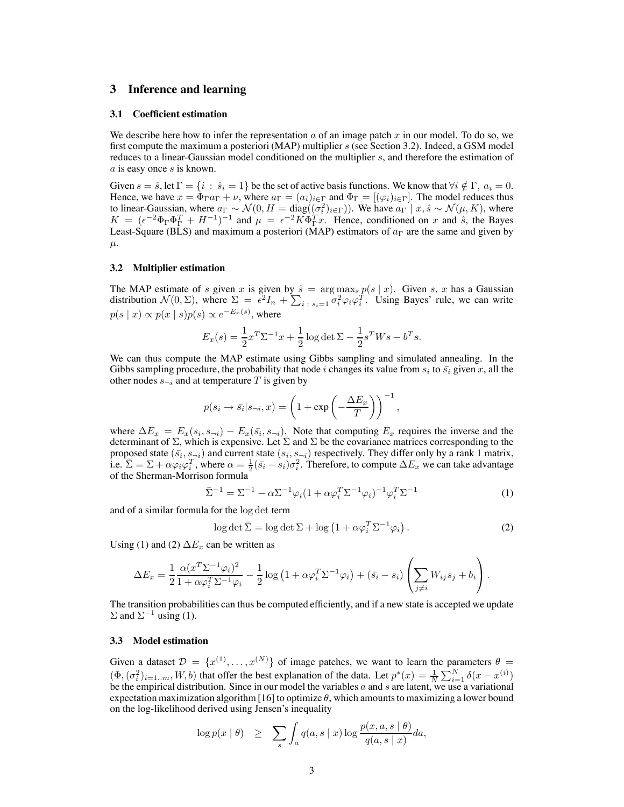## **3 Inference and learning**

#### **3.1 Coefficient estimation**

We describe here how to infer the representation  $a$  of an image patch  $x$  in our model. To do so, we first compute the maximum a posteriori (MAP) multiplier s (see Section 3.2). Indeed, a GSM model reduces to a linear-Gaussian model conditioned on the multiplier s, and therefore the estimation of  $a$  is easy once  $s$  is known.

Given  $s = \hat{s}$ , let  $\Gamma = \{i : \hat{s}_i = 1\}$  be the set of active basis functions. We know that  $\forall i \notin \Gamma$ ,  $a_i = 0$ . Hence, we have  $x = \Phi_{\Gamma} a_{\Gamma} + \nu$ , where  $a_{\Gamma} = (a_i)_{i \in \Gamma}$  and  $\Phi_{\Gamma} = [(\varphi_i)_{i \in \Gamma}]$ . The model reduces thus to linear-Gaussian, where  $a_{\Gamma} \sim \mathcal{N}(0, H = \text{diag}((\sigma_i^2)_{i \in \Gamma}))$ . We have  $a_{\Gamma} \mid x, \hat{s} \sim \mathcal{N}(\mu, K)$ , where  $K = (\epsilon^{-2}\Phi_{\Gamma}\Phi_{\Gamma}^{T} + H^{-1})^{-1}$  and  $\mu = \epsilon^{-2}K\Phi_{\Gamma}^{T}x$ . Hence, conditioned on x and  $\hat{s}$ , the Bayes Least-Square (BLS) and maximum a posteriori (MAP) estimators of  $a_{\Gamma}$  are the same and given by  $\mu$ .

### **3.2 Multiplier estimation**

The MAP estimate of s given x is given by  $\hat{s} = \arg \max_{s} p(s | x)$ . Given s, x has a Gaussian distribution  $\mathcal{N}(0,\Sigma)$ , where  $\Sigma = \epsilon^2 I_n + \sum_{i \in \mathcal{S}} \sum_{i=1}^n \sigma_i^2 \varphi_i \varphi_i^T$ . Using Bayes' rule, we can write  $p(s | x) \propto p(x | s) p(s) \propto e^{-E_x(s)}$ , where

$$
E_x(s) = \frac{1}{2}x^T \Sigma^{-1} x + \frac{1}{2} \log \det \Sigma - \frac{1}{2} s^T W s - b^T s.
$$

We can thus compute the MAP estimate using Gibbs sampling and simulated annealing. In the Gibbs sampling procedure, the probability that node i changes its value from  $s_i$  to  $\bar{s_i}$  given x, all the other nodes  $s_{\neg i}$  and at temperature T is given by

$$
p(s_i \to \bar{s}_i | s_{\neg i}, x) = \left(1 + \exp\left(-\frac{\Delta E_x}{T}\right)\right)^{-1},
$$

where  $\Delta E_x = E_x(s_i, s_{\neg i}) - E_x(\bar{s}_i, s_{\neg i})$ . Note that computing  $E_x$  requires the inverse and the determinant of  $\Sigma$ , which is expensive. Let  $\Sigma$  and  $\Sigma$  be the covariance matrices corresponding to the proposed state  $(\bar{s}_i, s_{\neg i})$  and current state  $(s_i, s_{\neg i})$  respectively. They differ only by a rank 1 matrix, i.e.  $\overline{\Sigma} = \Sigma + \alpha \varphi_i \varphi_i^T$ , where  $\alpha = \frac{1}{2} (\overline{s_i} - \overline{s_i}) \sigma_i^2$ . Therefore, to compute  $\Delta E_x$  we can take advantage of the Sherman-Morrison formula

$$
\bar{\Sigma}^{-1} = \Sigma^{-1} - \alpha \Sigma^{-1} \varphi_i (1 + \alpha \varphi_i^T \Sigma^{-1} \varphi_i)^{-1} \varphi_i^T \Sigma^{-1}
$$
\n(1)

and of a similar formula for the log det term

$$
\log \det \bar{\Sigma} = \log \det \Sigma + \log \left( 1 + \alpha \varphi_i^T \Sigma^{-1} \varphi_i \right). \tag{2}
$$

Using (1) and (2)  $\Delta E_x$  can be written as

$$
\Delta E_x = \frac{1}{2} \frac{\alpha (x^T \Sigma^{-1} \varphi_i)^2}{1 + \alpha \varphi_i^T \Sigma^{-1} \varphi_i} - \frac{1}{2} \log \left( 1 + \alpha \varphi_i^T \Sigma^{-1} \varphi_i \right) + (\bar{s_i} - s_i) \left( \sum_{j \neq i} W_{ij} s_j + b_i \right).
$$

The transition probabilities can thus be computed efficiently, and if a new state is accepted we update  $\Sigma$  and  $\Sigma^{-1}$  using (1).

## **3.3 Model estimation**

Given a dataset  $\mathcal{D} = \{x^{(1)}, \ldots, x^{(N)}\}$  of image patches, we want to learn the parameters  $\theta =$  $(\Phi, (\sigma_i^2)_{i=1..m}, W, b)$  that offer the best explanation of the data. Let  $p^*(x) = \frac{1}{N} \sum_{i=1}^{N} \delta(x - x^{(i)})$ be the empirical distribution. Since in our model the variables  $a$  and  $s$  are latent, we use a variational expectation maximization algorithm [16] to optimize  $\theta$ , which amounts to maximizing a lower bound on the log-likelihood derived using Jensen's inequality

$$
\log p(x \mid \theta) \geq \sum_{s} \int_{a} q(a, s \mid x) \log \frac{p(x, a, s \mid \theta)}{q(a, s \mid x)} da,
$$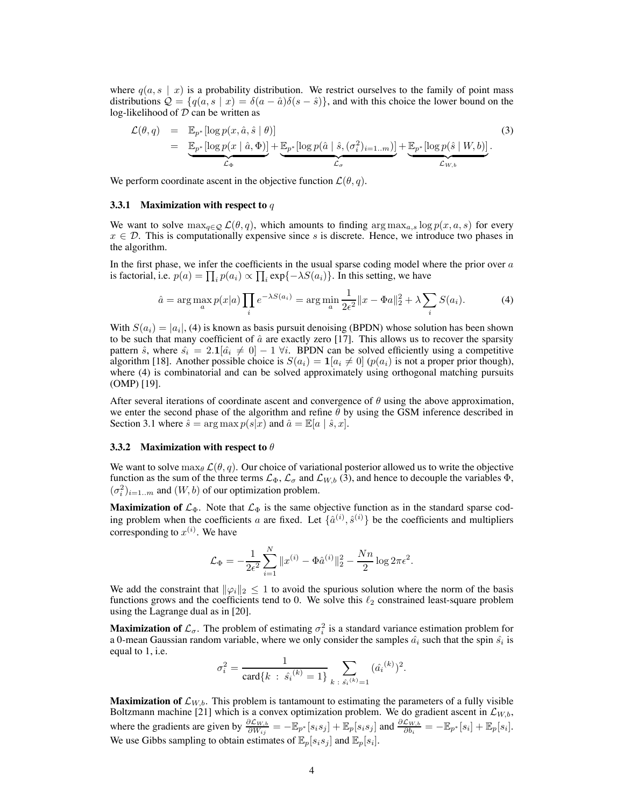where  $q(a, s \mid x)$  is a probability distribution. We restrict ourselves to the family of point mass distributions  $\mathcal{Q} = \{q(a, s \mid x) = \delta(a - \hat{a})\delta(s - \hat{s})\}$ , and with this choice the lower bound on the log-likelihood of  $D$  can be written as

$$
\mathcal{L}(\theta, q) = \mathbb{E}_{p^*}[\log p(x, \hat{a}, \hat{s} | \theta)]
$$
\n
$$
= \underbrace{\mathbb{E}_{p^*}[\log p(x | \hat{a}, \Phi)]}_{\mathcal{L}_{\Phi}} + \underbrace{\mathbb{E}_{p^*}[\log p(\hat{a} | \hat{s}, (\sigma_i^2)_{i=1..m})]}_{\mathcal{L}_{\sigma}} + \underbrace{\mathbb{E}_{p^*}[\log p(\hat{s} | W, b)]}_{\mathcal{L}_{W, b}}.
$$
\n(3)

We perform coordinate ascent in the objective function  $\mathcal{L}(\theta, q)$ .

#### **3.3.1 Maximization with respect to** q

We want to solve  $\max_{q \in \mathcal{Q}} \mathcal{L}(\theta, q)$ , which amounts to finding  $\arg \max_{a,s} \log p(x, a, s)$  for every  $x \in \mathcal{D}$ . This is computationally expensive since s is discrete. Hence, we introduce two phases in the algorithm.

In the first phase, we infer the coefficients in the usual sparse coding model where the prior over  $a$ is factorial, i.e.  $p(a) = \prod_i p(a_i) \propto \prod_i \exp\{-\lambda S(a_i)\}\.$  In this setting, we have

$$
\hat{a} = \arg \max_{a} p(x|a) \prod_{i} e^{-\lambda S(a_i)} = \arg \min_{a} \frac{1}{2\epsilon^2} ||x - \Phi a||_2^2 + \lambda \sum_{i} S(a_i). \tag{4}
$$

With  $S(a_i) = |a_i|$ , (4) is known as basis pursuit denoising (BPDN) whose solution has been shown to be such that many coefficient of  $\hat{a}$  are exactly zero [17]. This allows us to recover the sparsity pattern  $\hat{s}$ , where  $\hat{s_i} = 2.1[\hat{a_i} \neq 0] - 1 \,\forall i$ . BPDN can be solved efficiently using a competitive algorithm [18]. Another possible choice is  $S(a_i) = \mathbf{1}[a_i \neq 0]$  ( $p(a_i)$  is not a proper prior though), where (4) is combinatorial and can be solved approximately using orthogonal matching pursuits (OMP) [19].

After several iterations of coordinate ascent and convergence of  $\theta$  using the above approximation, we enter the second phase of the algorithm and refine  $\theta$  by using the GSM inference described in Section 3.1 where  $\hat{s} = \arg \max p(s|x)$  and  $\hat{a} = \mathbb{E}[a | \hat{s}, x]$ .

#### **3.3.2 Maximization with respect to** θ

We want to solve  $\max_{\theta} \mathcal{L}(\theta, q)$ . Our choice of variational posterior allowed us to write the objective function as the sum of the three terms  $\mathcal{L}_{\Phi}$ ,  $\mathcal{L}_{\sigma}$  and  $\mathcal{L}_{W,b}$  (3), and hence to decouple the variables  $\Phi$ ,  $(\sigma_i^2)_{i=1..m}$  and  $(W, b)$  of our optimization problem.

**Maximization of**  $\mathcal{L}_{\Phi}$ . Note that  $\mathcal{L}_{\Phi}$  is the same objective function as in the standard sparse coding problem when the coefficients a are fixed. Let  $\{\hat{a}^{(i)}, \hat{s}^{(i)}\}$  be the coefficients and multipliers corresponding to  $x^{(i)}$ . We have

$$
\mathcal{L}_{\Phi} = -\frac{1}{2\epsilon^2} \sum_{i=1}^{N} ||x^{(i)} - \Phi \hat{a}^{(i)}||_2^2 - \frac{Nn}{2} \log 2\pi \epsilon^2.
$$

We add the constraint that  $\|\varphi_i\|_2 \leq 1$  to avoid the spurious solution where the norm of the basis functions grows and the coefficients tend to 0. We solve this  $\ell_2$  constrained least-square problem using the Lagrange dual as in [20].

**Maximization of**  $\mathcal{L}_{\sigma}$ . The problem of estimating  $\sigma_i^2$  is a standard variance estimation problem for a 0-mean Gaussian random variable, where we only consider the samples  $\hat{a}_i$  such that the spin  $\hat{s}_i$  is equal to 1, i.e.

$$
\sigma_i^2 = \frac{1}{\text{card}\{k \; : \; \hat{s}_i^{(k)} = 1\}} \sum_{k \; : \; \hat{s}_i^{(k)} = 1} (\hat{a}_i^{(k)})^2.
$$

**Maximization of**  $\mathcal{L}_{W,b}$ . This problem is tantamount to estimating the parameters of a fully visible Boltzmann machine [21] which is a convex optimization problem. We do gradient ascent in  $\mathcal{L}_{W,b}$ , where the gradients are given by  $\frac{\partial \mathcal{L}_{W,b}}{\partial W_{ij}} = -\mathbb{E}_{p^*}[s_i s_j] + \mathbb{E}_p[s_i s_j]$  and  $\frac{\partial \mathcal{L}_{W,b}}{\partial b_i} = -\mathbb{E}_{p^*}[s_i] + \mathbb{E}_p[s_i]$ . We use Gibbs sampling to obtain estimates of  $\mathbb{E}_p[s_i s_j]$  and  $\mathbb{E}_p[s_i]$ .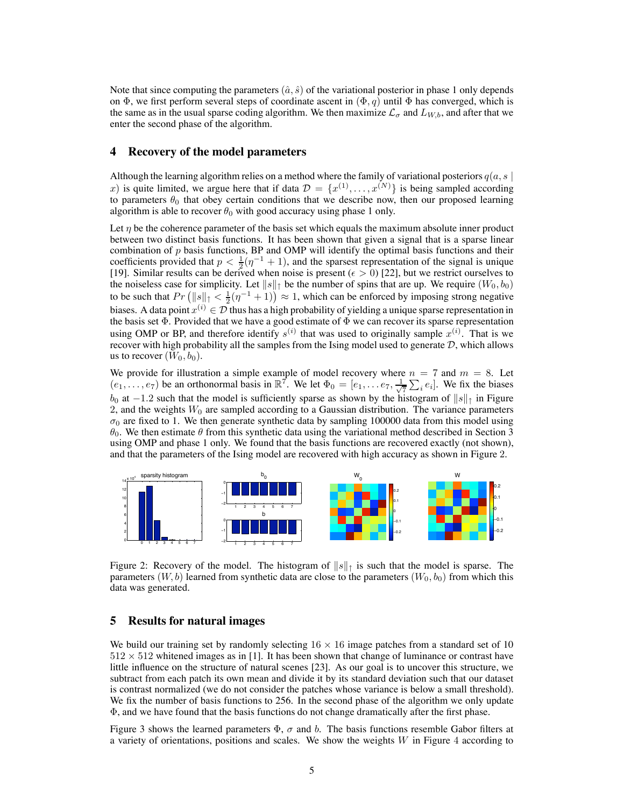Note that since computing the parameters  $(\hat{a}, \hat{s})$  of the variational posterior in phase 1 only depends on  $\Phi$ , we first perform several steps of coordinate ascent in  $(\Phi, q)$  until  $\Phi$  has converged, which is the same as in the usual sparse coding algorithm. We then maximize  $\mathcal{L}_{\sigma}$  and  $L_{W,b}$ , and after that we enter the second phase of the algorithm.

## **4 Recovery of the model parameters**

Although the learning algorithm relies on a method where the family of variational posteriors  $q(a, s)$ x) is quite limited, we argue here that if data  $\mathcal{D} = \{x^{(1)}, \ldots, x^{(N)}\}$  is being sampled according to parameters  $\theta_0$  that obey certain conditions that we describe now, then our proposed learning algorithm is able to recover  $\theta_0$  with good accuracy using phase 1 only.

Let  $\eta$  be the coherence parameter of the basis set which equals the maximum absolute inner product between two distinct basis functions. It has been shown that given a signal that is a sparse linear combination of  $p$  basis functions, BP and OMP will identify the optimal basis functions and their coefficients provided that  $p < \frac{1}{2}(\eta^{-1} + 1)$ , and the sparsest representation of the signal is unique [19]. Similar results can be derived when noise is present ( $\epsilon > 0$ ) [22], but we restrict ourselves to the noiseless case for simplicity. Let  $||s||_1$  be the number of spins that are up. We require  $(W_0, b_0)$ to be such that  $Pr\left(\|s\|_1 < \frac{1}{2}(\eta^{-1} + 1)\right) \approx 1$ , which can be enforced by imposing strong negative biases. A data point  $x^{(i)} \in \mathcal{D}$  thus has a high probability of yielding a unique sparse representation in the basis set  $\Phi$ . Provided that we have a good estimate of  $\Phi$  we can recover its sparse representation using OMP or BP, and therefore identify  $s^{(i)}$  that was used to originally sample  $x^{(i)}$ . That is we recover with high probability all the samples from the Ising model used to generate D, which allows us to recover  $(W_0, b_0)$ .

We provide for illustration a simple example of model recovery where  $n = 7$  and  $m = 8$ . Let  $(e_1, \ldots, e_7)$  be an orthonormal basis in  $\mathbb{R}^7$ . We let  $\Phi_0 = [e_1, \ldots e_7, \frac{1}{\sqrt{2}}]$  $\frac{1}{7} \sum_i e_i$ . We fix the biases  $b_0$  at  $-1.2$  such that the model is sufficiently sparse as shown by the histogram of  $||s||$  in Figure 2, and the weights  $W_0$  are sampled according to a Gaussian distribution. The variance parameters  $\sigma_0$  are fixed to 1. We then generate synthetic data by sampling 100000 data from this model using  $\theta_0$ . We then estimate  $\theta$  from this synthetic data using the variational method described in Section 3 using OMP and phase 1 only. We found that the basis functions are recovered exactly (not shown), and that the parameters of the Ising model are recovered with high accuracy as shown in Figure 2.



Figure 2: Recovery of the model. The histogram of  $||s||_T$  is such that the model is sparse. The parameters  $(W, b)$  learned from synthetic data are close to the parameters  $(W_0, b_0)$  from which this data was generated.

## **5 Results for natural images**

We build our training set by randomly selecting  $16 \times 16$  image patches from a standard set of 10  $512 \times 512$  whitened images as in [1]. It has been shown that change of luminance or contrast have little influence on the structure of natural scenes [23]. As our goal is to uncover this structure, we subtract from each patch its own mean and divide it by its standard deviation such that our dataset is contrast normalized (we do not consider the patches whose variance is below a small threshold). We fix the number of basis functions to 256. In the second phase of the algorithm we only update Φ, and we have found that the basis functions do not change dramatically after the first phase.

Figure 3 shows the learned parameters  $\Phi$ ,  $\sigma$  and b. The basis functions resemble Gabor filters at a variety of orientations, positions and scales. We show the weights  $W$  in Figure 4 according to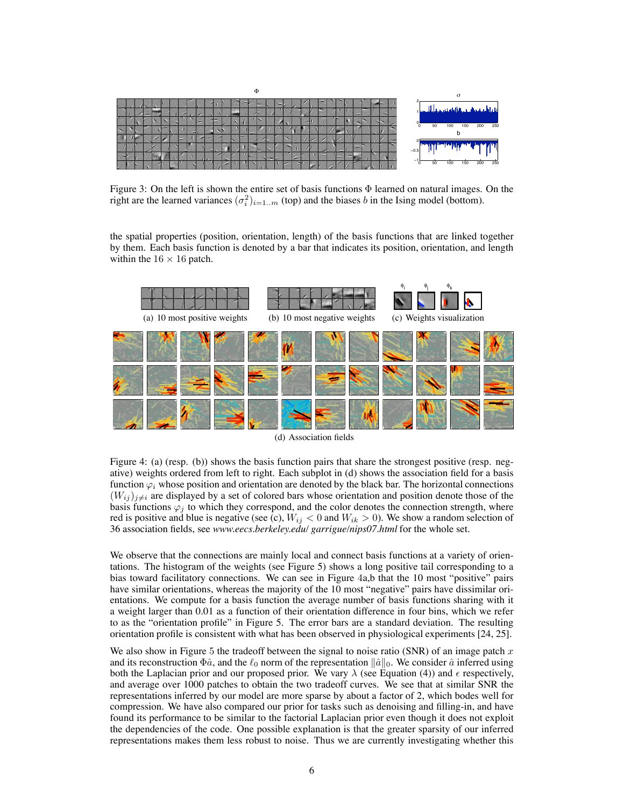

Figure 3: On the left is shown the entire set of basis functions Φ learned on natural images. On the right are the learned variances  $(\sigma_i^2)_{i=1..m}$  (top) and the biases b in the Ising model (bottom).

the spatial properties (position, orientation, length) of the basis functions that are linked together by them. Each basis function is denoted by a bar that indicates its position, orientation, and length within the  $16 \times 16$  patch.



(d) Association fields

Figure 4: (a) (resp. (b)) shows the basis function pairs that share the strongest positive (resp. negative) weights ordered from left to right. Each subplot in (d) shows the association field for a basis function  $\varphi_i$  whose position and orientation are denoted by the black bar. The horizontal connections  $(W_{ij})_{j\neq i}$  are displayed by a set of colored bars whose orientation and position denote those of the basis functions  $\varphi_i$  to which they correspond, and the color denotes the connection strength, where red is positive and blue is negative (see (c),  $W_{ij} < 0$  and  $W_{ik} > 0$ ). We show a random selection of 36 association fields, see *www.eecs.berkeley.edu/ garrigue/nips07.html* for the whole set.

We observe that the connections are mainly local and connect basis functions at a variety of orientations. The histogram of the weights (see Figure 5) shows a long positive tail corresponding to a bias toward facilitatory connections. We can see in Figure 4a,b that the 10 most "positive" pairs have similar orientations, whereas the majority of the 10 most "negative" pairs have dissimilar orientations. We compute for a basis function the average number of basis functions sharing with it a weight larger than 0.01 as a function of their orientation difference in four bins, which we refer to as the "orientation profile" in Figure 5. The error bars are a standard deviation. The resulting orientation profile is consistent with what has been observed in physiological experiments [24, 25].

We also show in Figure 5 the tradeoff between the signal to noise ratio (SNR) of an image patch  $x$ and its reconstruction  $\Phi \hat{a}$ , and the  $\ell_0$  norm of the representation  $\|\hat{a}\|_0$ . We consider  $\hat{a}$  inferred using both the Laplacian prior and our proposed prior. We vary  $\lambda$  (see Equation (4)) and  $\epsilon$  respectively, and average over 1000 patches to obtain the two tradeoff curves. We see that at similar SNR the representations inferred by our model are more sparse by about a factor of 2, which bodes well for compression. We have also compared our prior for tasks such as denoising and filling-in, and have found its performance to be similar to the factorial Laplacian prior even though it does not exploit the dependencies of the code. One possible explanation is that the greater sparsity of our inferred representations makes them less robust to noise. Thus we are currently investigating whether this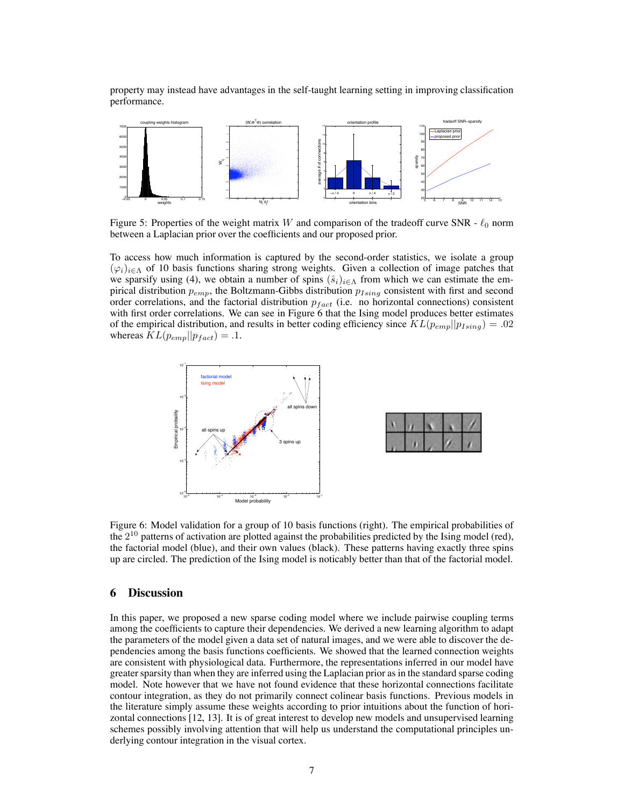property may instead have advantages in the self-taught learning setting in improving classification performance.



Figure 5: Properties of the weight matrix W and comparison of the tradeoff curve SNR -  $\ell_0$  norm between a Laplacian prior over the coefficients and our proposed prior.

To access how much information is captured by the second-order statistics, we isolate a group  $(\varphi_i)_{i\in\Lambda}$  of 10 basis functions sharing strong weights. Given a collection of image patches that we sparsify using (4), we obtain a number of spins  $(\hat{s}_i)_{i \in \Lambda}$  from which we can estimate the empirical distribution  $p_{emp}$ , the Boltzmann-Gibbs distribution  $p_{Ising}$  consistent with first and second order correlations, and the factorial distribution  $p_{fact}$  (i.e. no horizontal connections) consistent with first order correlations. We can see in Figure 6 that the Ising model produces better estimates of the empirical distribution, and results in better coding efficiency since  $KL(p_{emp}||p_{Ising}) = .02$ whereas  $KL(p_{emp}||p_{fact}) = .1$ .



Figure 6: Model validation for a group of 10 basis functions (right). The empirical probabilities of the  $2^{10}$  patterns of activation are plotted against the probabilities predicted by the Ising model (red), the factorial model (blue), and their own values (black). These patterns having exactly three spins up are circled. The prediction of the Ising model is noticably better than that of the factorial model.

## **6 Discussion**

In this paper, we proposed a new sparse coding model where we include pairwise coupling terms among the coefficients to capture their dependencies. We derived a new learning algorithm to adapt the parameters of the model given a data set of natural images, and we were able to discover the dependencies among the basis functions coefficients. We showed that the learned connection weights are consistent with physiological data. Furthermore, the representations inferred in our model have greater sparsity than when they are inferred using the Laplacian prior as in the standard sparse coding model. Note however that we have not found evidence that these horizontal connections facilitate contour integration, as they do not primarily connect colinear basis functions. Previous models in the literature simply assume these weights according to prior intuitions about the function of horizontal connections [12, 13]. It is of great interest to develop new models and unsupervised learning schemes possibly involving attention that will help us understand the computational principles underlying contour integration in the visual cortex.